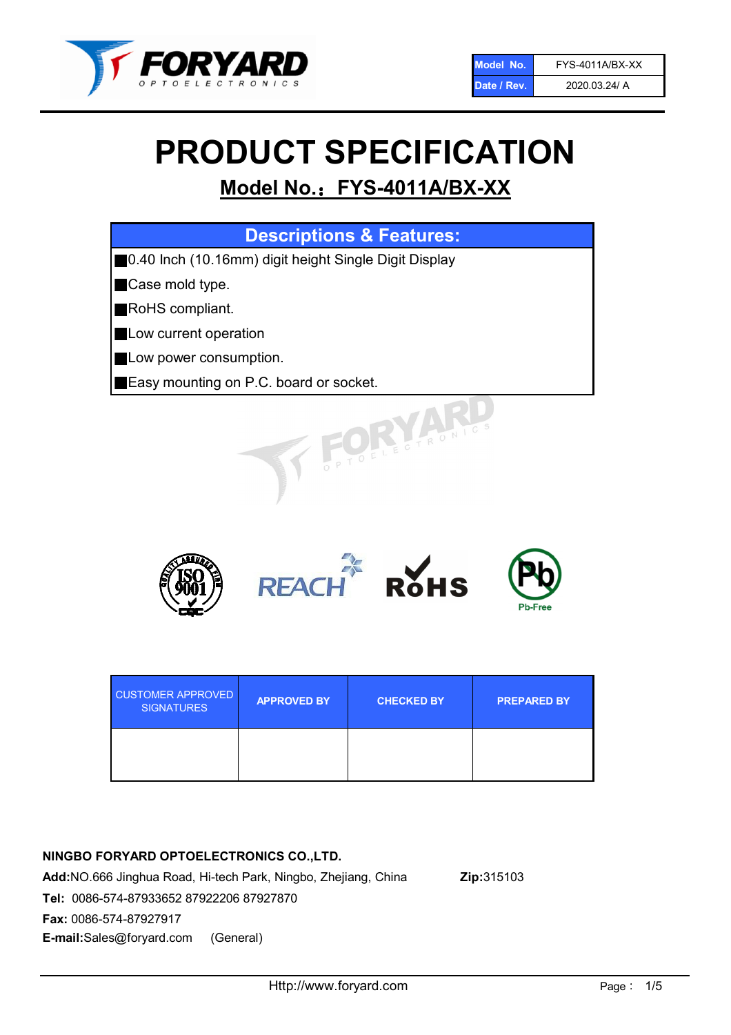

# PRODUCT SPECIFICATION

# Model No.: FYS-4011A/BX-XX

| <b>Descriptions &amp; Features:</b>                    |
|--------------------------------------------------------|
| ■0.40 Inch (10.16mm) digit height Single Digit Display |
| Case mold type.                                        |
| RoHS compliant.                                        |
| Low current operation                                  |
| Low power consumption.                                 |
| Easy mounting on P.C. board or socket.                 |
| VINECTRONIC                                            |



| <b>CUSTOMER APPROVED</b><br><b>SIGNATURES</b> | <b>APPROVED BY</b> | <b>CHECKED BY</b> | <b>PREPARED BY</b> |
|-----------------------------------------------|--------------------|-------------------|--------------------|
|                                               |                    |                   |                    |

## NINGBO FORYARD OPTOELECTRONICS CO.,LTD.

Add:NO.666 Jinghua Road, Hi-tech Park, Ningbo, Zhejiang, China Zip:315103 Tel: 0086-574-87933652 87922206 87927870 Fax: 0086-574-87927917 E-mail:Sales@foryard.com (General)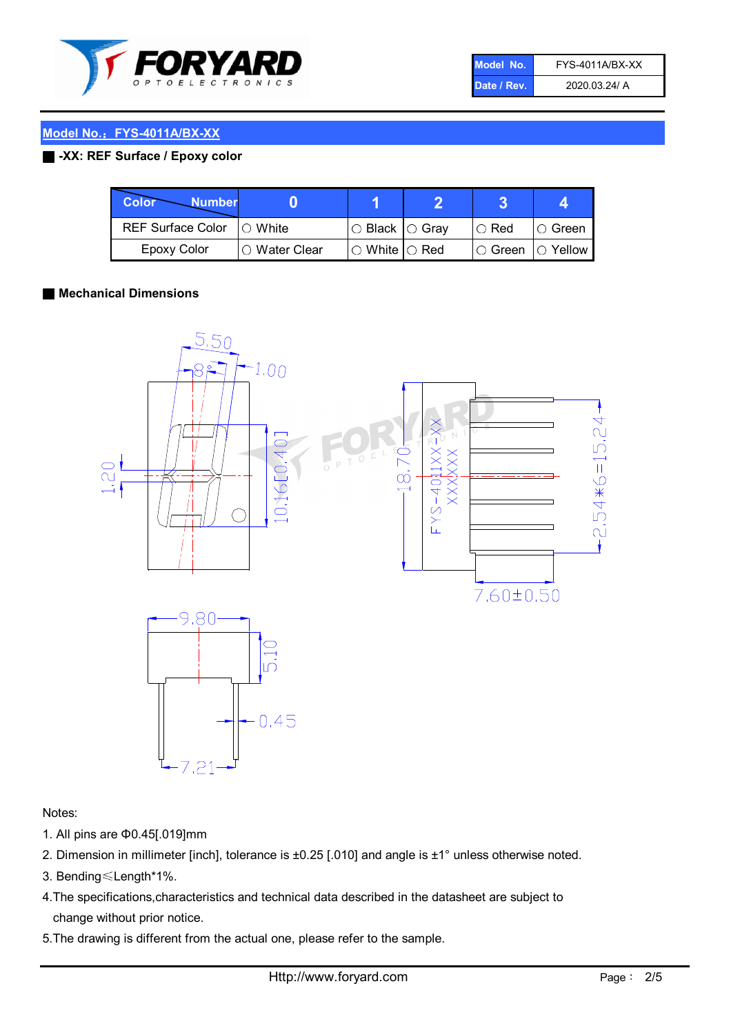

| Model No.   | FYS-4011A/BX-XX |
|-------------|-----------------|
| Date / Rev. | 2020.03.24/ A   |

#### Model No.: FYS-4011A/BX-XX

#### ■ -XX: REF Surface / Epoxy color

| Color<br><b>Number</b>      |                        |                            |               |                |
|-----------------------------|------------------------|----------------------------|---------------|----------------|
| REF Surface Color   O White |                        | $\circ$ Black $\circ$ Gray | $\circ$ Red   | Green          |
| Epoxy Color                 | $\bigcirc$ Water Clear | $\circ$ White $\circ$ Red  | $\circ$ Green | $\circ$ Yellow |

#### ■ Mechanical Dimensions



Notes:

- 1. All pins are Φ0.45[.019]mm
- 2. Dimension in millimeter [inch], tolerance is ±0.25 [.010] and angle is ±1° unless otherwise noted.
- 3. Bending≤Length\*1%.
- 4.The specifications,characteristics and technical data described in the datasheet are subject to change without prior notice.
- 5.The drawing is different from the actual one, please refer to the sample.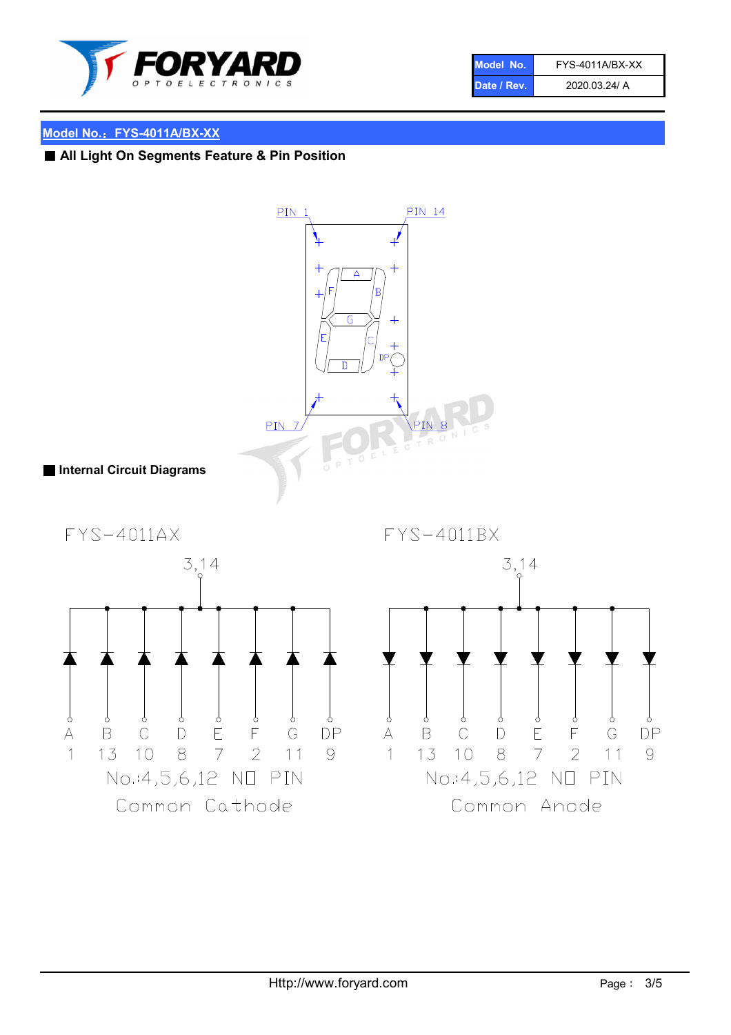

| Model No.   | FYS-4011A/BX-XX |
|-------------|-----------------|
| Date / Rev. | 2020.03.24/ A   |

## Model No.: FYS-4011A/BX-XX

# ■ All Light On Segments Feature & Pin Position

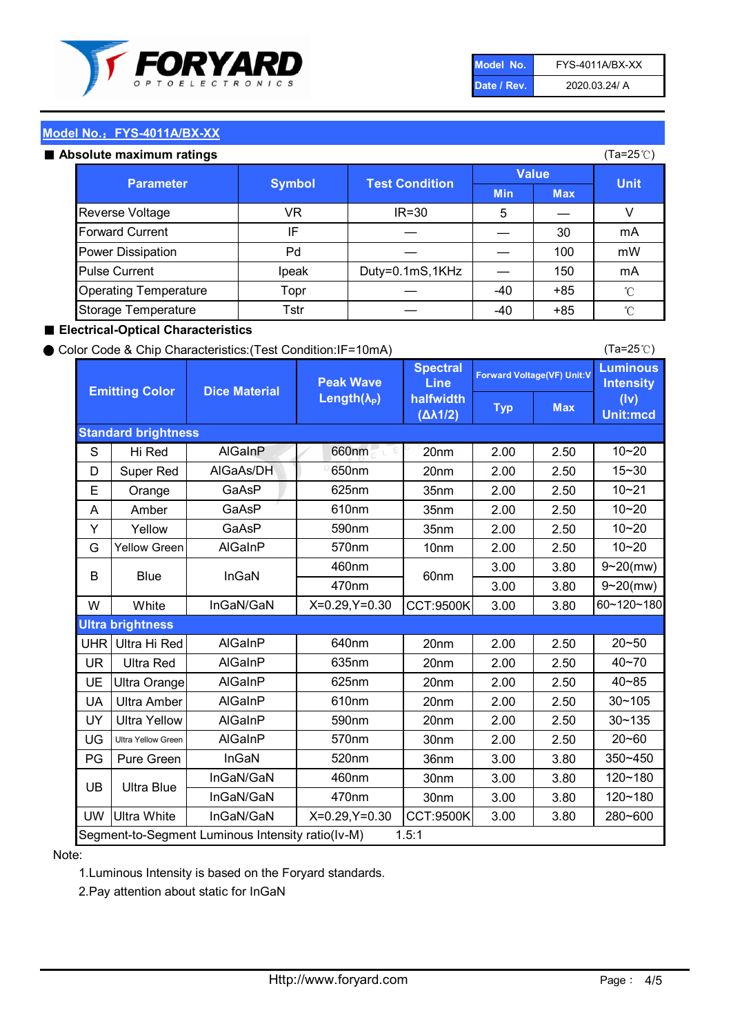

| Model No.   | FYS-4011A/BX-XX |
|-------------|-----------------|
| Date / Rev. | 2020.03.24/ A   |

(Ta=25℃)

#### Model No.: FYS-4011A/BX-XX

#### Absolute maximum ratings

| solute maximum ratings       |               |                       | (Ta=25℃)     |            |             |
|------------------------------|---------------|-----------------------|--------------|------------|-------------|
| <b>Parameter</b>             | <b>Symbol</b> | <b>Test Condition</b> | <b>Value</b> |            |             |
|                              |               |                       | <b>Min</b>   | <b>Max</b> | <b>Unit</b> |
| Reverse Voltage              | VR            | $IR = 30$             | 5            |            | V           |
| <b>Forward Current</b>       | ΙF            |                       |              | 30         | mA          |
| Power Dissipation            | Pd            |                       |              | 100        | mW          |
| <b>Pulse Current</b>         | Ipeak         | Duty=0.1mS,1KHz       |              | 150        | mA          |
| <b>Operating Temperature</b> | Topr          |                       | $-40$        | $+85$      | °C          |
| Storage Temperature          | Tstr          |                       | $-40$        | $+85$      | °C          |

#### ■ Electrical-Optical Characteristics

#### ● Color Code & Chip Characteristics:(Test Condition:IF=10mA)

Typ Max S | Hi $\textsf{Red}$  | AlGaInP | 660nm LE 20nm | 2.00 | 2.50 D | Super Red | AIGaAs/DH | 650nm | 20nm | 2.00 | 2.50 E | Orange | GaAsP | 625nm | 35nm | 2.00 | 2.50 A | Amber | GaAsP | 610nm | 35nm | 2.00 | 2.50 Y | Yellow | GaAsP | 590nm | 35nm | 2.00 | 2.50 G Yellow Green AIGaInP | 570nm | 10nm | 2.00 | 2.50 3.00 3.80 3.00 3.80 W | White | InGaN/GaN | X=0.29,Y=0.30 |CCT:9500K| 3.00 | 3.80 UHR Ultra Hi Red | AlGaInP | 640nm | 20nm | 2.00 | 2.50 UR | Ultra Red | AlGaInP | 635nm | 20nm | 2.00 | 2.50 UE Ultra Orange | AIGaInP | 625nm | 20nm | 2.00 | 2.50 UA Ultra Amber | AIGaInP | 610nm | 20nm | 2.00 | 2.50  $UV$  Ultra Yellow  $\vert$  AlGaInP  $\vert$  590nm  $\vert$  20nm  $\vert$  2.00  $\vert$  2.50  $\text{UG}$  Ultra Yellow Green | AIGaInP | 570nm | 30nm | 2.00 | 2.50 PG Pure Green | InGaN | 520nm | 36nm | 3.00 | 3.80 30nm 3.00 3.80 30nm 3.00 3.80 UW |Ultra White | InGaN/GaN | X=0.29,Y=0.30 |CCT:9500K| 3.00 | 3.80 10~20 Standard brightness Forward Voltage(VF) Unit:V 15~30 10~20 10~20 625nm GaAsP 590nm **Emitting Color Dice Material** 10~21 610nm Luminous **Intensity** (Iv) Unit:mcd AlGainP 660nm GaAsP GaAsP AlGaAs/DH **Spectral** Line halfwidth (∆λ1/2) Peak Wave Length $(\lambda_{\rm P})$ UB 460nm 635nm AlGaInP AlGaInP AlGaInP InGaN/GaN AlGaInP | 570nm | 10nm | 2.00 | 2.50 | 10~20 30~105 30~135 460nm 520nm Ultra brightness **AlGaInP** AlGaInP 60nm AlGaInP 640nm Segment-to-Segment Luminous Intensity ratio(Iv-M) 1.5:1 610nm 9~20(mw) 350~450 470nm 120~180 120~180 Ultra Blue InGaN/GaN InGaN/GaN 9~20(mw) 20~50 280~600 570nm | 30nm | 2.00 | 2.50 | 20~60 470nm 590nm InGaN/GaN B Blue I InGaN 40~85 60~120~180 40~70

#### Note:

1.Luminous Intensity is based on the Foryard standards.

2.Pay attention about static for InGaN